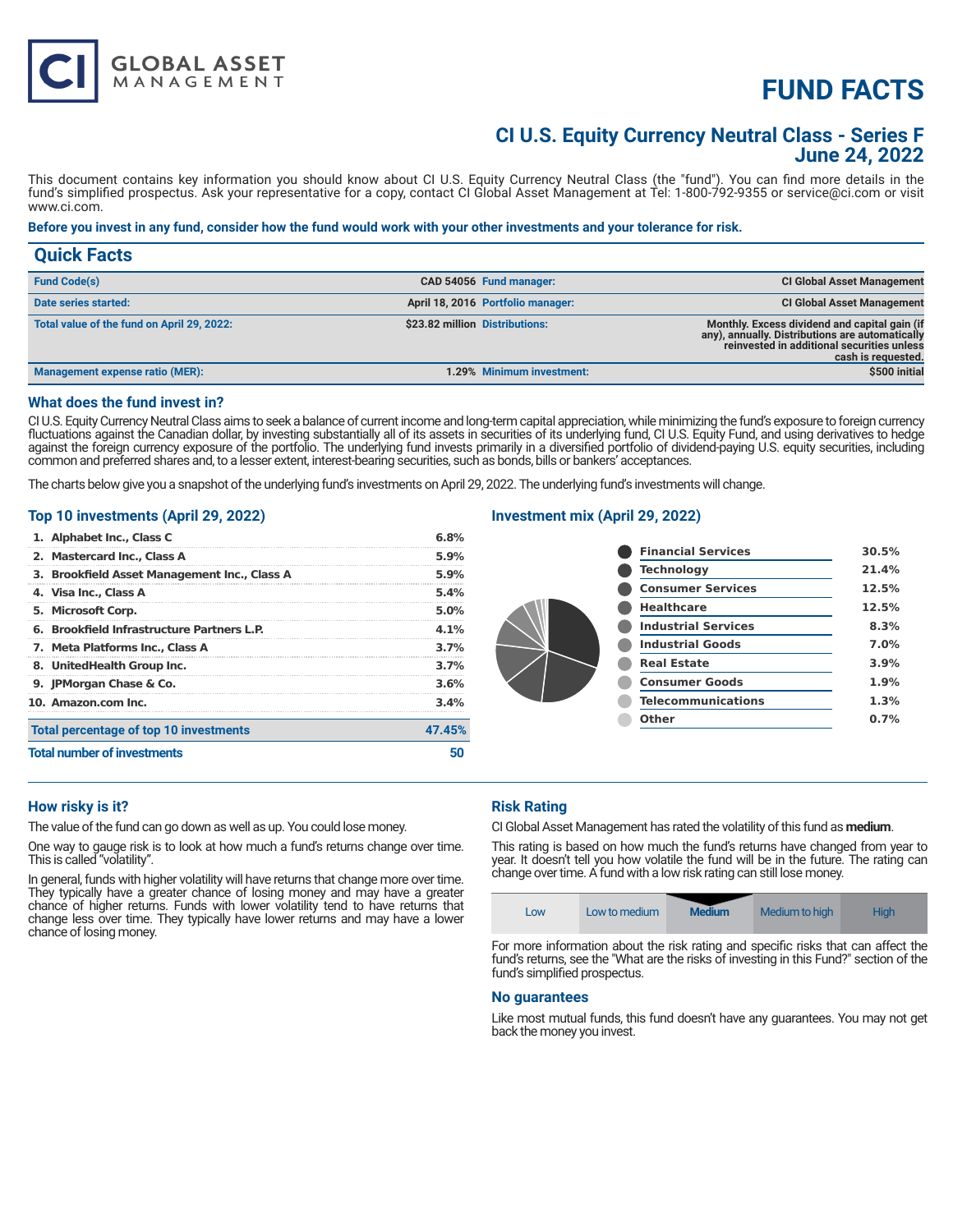# **FUND FACTS**

# **CI U.S. Equity Currency Neutral Class - Series F June 24, 2022**

This document contains key information you should know about CI U.S. Equity Currency Neutral Class (the "fund"). You can find more details in the fund's simplified prospectus. Ask your representative for a copy, contact CI Global Asset Management at Tel: 1-800-792-9355 or service@ci.com or visit www.ci.com.

#### **Before you invest in any fund, consider how the fund would work with your other investments and your tolerance for risk.**

| <b>Quick Facts</b>                         |                                                                                                                                                                                                        |
|--------------------------------------------|--------------------------------------------------------------------------------------------------------------------------------------------------------------------------------------------------------|
| <b>Fund Code(s)</b>                        | <b>CI Global Asset Management</b><br>CAD 54056 Fund manager:                                                                                                                                           |
| Date series started:                       | April 18, 2016 Portfolio manager:<br><b>CI Global Asset Management</b>                                                                                                                                 |
| Total value of the fund on April 29, 2022: | \$23.82 million Distributions:<br>Monthly. Excess dividend and capital gain (if<br>any), annually. Distributions are automatically<br>reinvested in additional securities unless<br>cash is requested. |
| <b>Management expense ratio (MER):</b>     | \$500 initial<br>1.29% Minimum investment:                                                                                                                                                             |

#### **What does the fund invest in?**

**GLOBAL ASSET**<br>MANAGEMENT

CI U.S. Equity Currency Neutral Class aims to seek a balance of current income and long-term capital appreciation, while minimizing the fund's exposure to foreign currency fluctuations against the Canadian dollar, by investing substantially all of its assets in securities of its underlying fund, CI U.S. Equity Fund, and using derivatives to hedge against the foreign currency exposure of the portfolio. The underlying fund invests primarily in a diversified portfolio of dividend-paying U.S. equity securities, including common and preferred shares and, to a lesser extent, interest-bearing securities, such as bonds, bills or bankers' acceptances.

The charts below give you a snapshot of the underlying fund's investments on April 29, 2022. The underlying fund's investments will change.

#### **Top 10 investments (April 29, 2022)**

| <b>Total number of investments</b>           | 47.45%                                  |
|----------------------------------------------|-----------------------------------------|
| Total percentage of top 10 investments       |                                         |
| 10. Amazon.com Inc.                          | $4.1\%$<br>3.7%<br>3.7%<br>3.6%<br>3.4% |
| 9. JPMorgan Chase & Co.                      |                                         |
| 8. UnitedHealth Group Inc.                   |                                         |
| 7. Meta Platforms Inc., Class A              |                                         |
| 6. Brookfield Infrastructure Partners L.P.   |                                         |
| 5. Microsoft Corp.                           | 5.0%                                    |
| 4. Visa Inc., Class A                        | 5.4%                                    |
| 3. Brookfield Asset Management Inc., Class A | 5.9%                                    |
| 2. Mastercard Inc., Class A                  | 5.9%                                    |
| 1. Alphabet Inc., Class C                    | 6.8%                                    |

### **Investment mix (April 29, 2022)**

| <b>Financial Services</b>  | 30.5% |
|----------------------------|-------|
| <b>Technology</b>          | 21.4% |
| <b>Consumer Services</b>   | 12.5% |
| <b>Healthcare</b>          | 12.5% |
| <b>Industrial Services</b> | 8.3%  |
| <b>Industrial Goods</b>    | 7.0%  |
| <b>Real Estate</b>         | 3.9%  |
| <b>Consumer Goods</b>      | 1.9%  |
| <b>Telecommunications</b>  | 1.3%  |
| Other                      | 0.7%  |
|                            |       |

#### **How risky is it?**

The value of the fund can go down as well as up. You could lose money.

One way to gauge risk is to look at how much a fund's returns change over time. This is called "volatility".

In general, funds with higher volatility will have returns that change more over time. They typically have a greater chance of losing money and may have a greater chance of higher returns. Funds with lower volatility tend to have returns that change less over time. They typically have lower returns and may have a lower chance of losing money.

#### **Risk Rating**

CI Global Asset Management has rated the volatility of this fund as **medium**.

This rating is based on how much the fund's returns have changed from year to year. It doesn't tell you how volatile the fund will be in the future. The rating can change over time. A fund with a low risk rating can still lose money.

|  | LOW | Low to medium | <b>Medium</b> | Medium to high | Hiah |
|--|-----|---------------|---------------|----------------|------|
|--|-----|---------------|---------------|----------------|------|

For more information about the risk rating and specific risks that can affect the fund's returns, see the "What are the risks of investing in this Fund?" section of the fund's simplified prospectus.

#### **No guarantees**

Like most mutual funds, this fund doesn't have any guarantees. You may not get back the money you invest.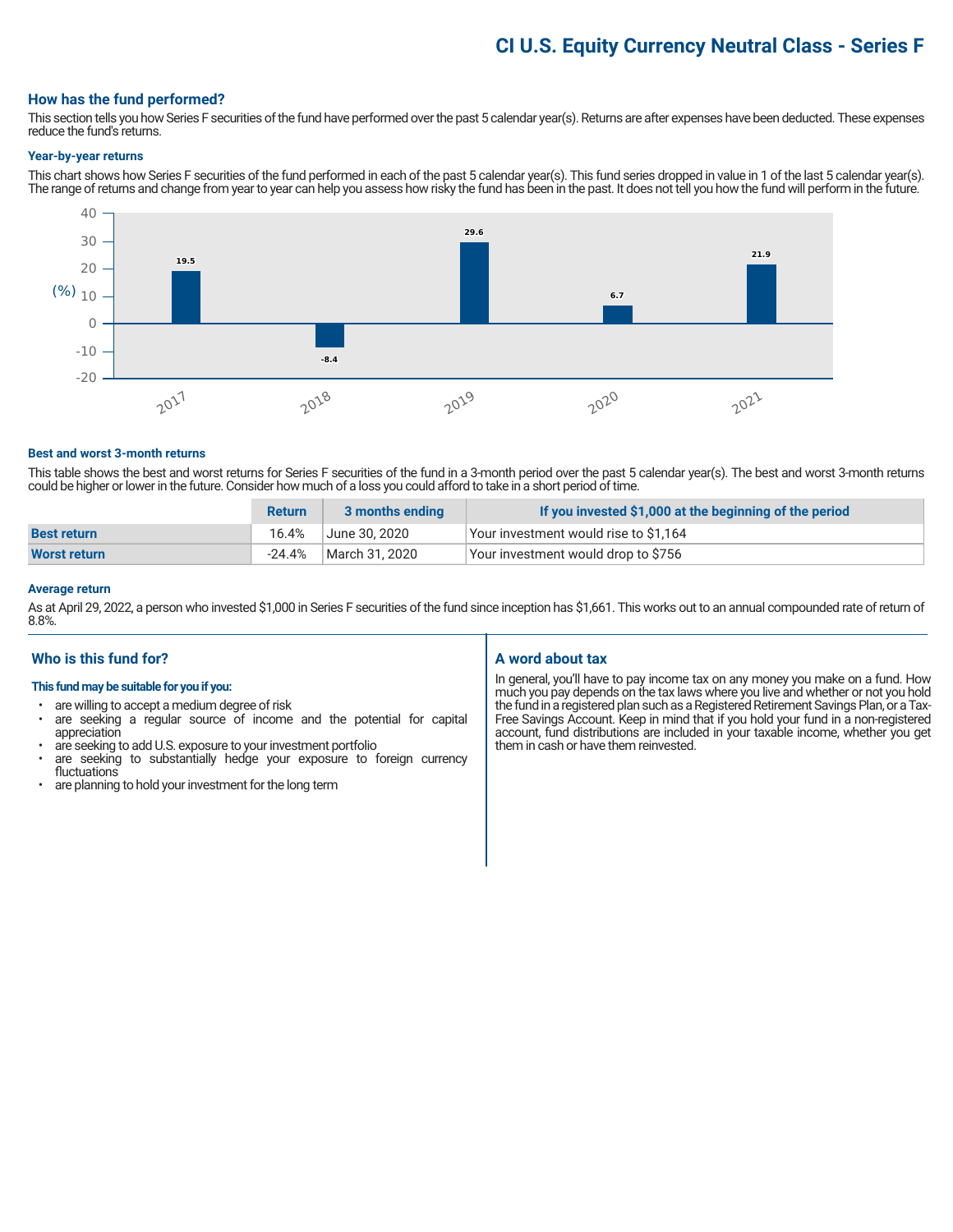# **CI U.S. Equity Currency Neutral Class - Series F**

#### **How has the fund performed?**

This section tells you how Series F securities of the fund have performed over the past 5 calendar year(s). Returns are after expenses have been deducted. These expenses reduce the fund's returns.

#### **Year-by-year returns**

This chart shows how Series F securities of the fund performed in each of the past 5 calendar year(s). This fund series dropped in value in 1 of the last 5 calendar year(s). The range of returns and change from year to year can help you assess how risky the fund has been in the past. It does not tell you how the fund will perform in the future.



#### **Best and worst 3-month returns**

This table shows the best and worst returns for Series F securities of the fund in a 3-month period over the past 5 calendar year(s). The best and worst 3-month returns could be higher or lower in the future. Consider how much of a loss you could afford to take in a short period of time.

|                     | <b>Return</b> | 3 months ending | If you invested \$1,000 at the beginning of the period |
|---------------------|---------------|-----------------|--------------------------------------------------------|
| <b>Best return</b>  | 16.4%         | June 30. 2020   | Your investment would rise to \$1,164                  |
| <b>Worst return</b> | -24.4%        | March 31, 2020  | Your investment would drop to \$756                    |

#### **Average return**

As at April 29, 2022, a person who invested \$1,000 in Series F securities of the fund since inception has \$1,661. This works out to an annual compounded rate of return of 8.8%.

# **Who is this fund for?**

#### **This fund may be suitable for you if you:**

- are willing to accept a medium degree of risk
- are seeking a regular source of income and the potential for capital appreciation
- are seeking to add U.S. exposure to your investment portfolio<br>• are seeking to substantially bedge your exposure to 1
- are seeking to substantially hedge your exposure to foreign currency fluctuations
- are planning to hold your investment for the long term

# **A word about tax**

In general, you'll have to pay income tax on any money you make on a fund. How much you pay depends on the tax laws where you live and whether or not you hold the fund in a registered plan such as a Registered Retirement Savings Plan, or a Tax-Free Savings Account. Keep in mind that if you hold your fund in a non-registered account, fund distributions are included in your taxable income, whether you get them in cash or have them reinvested.